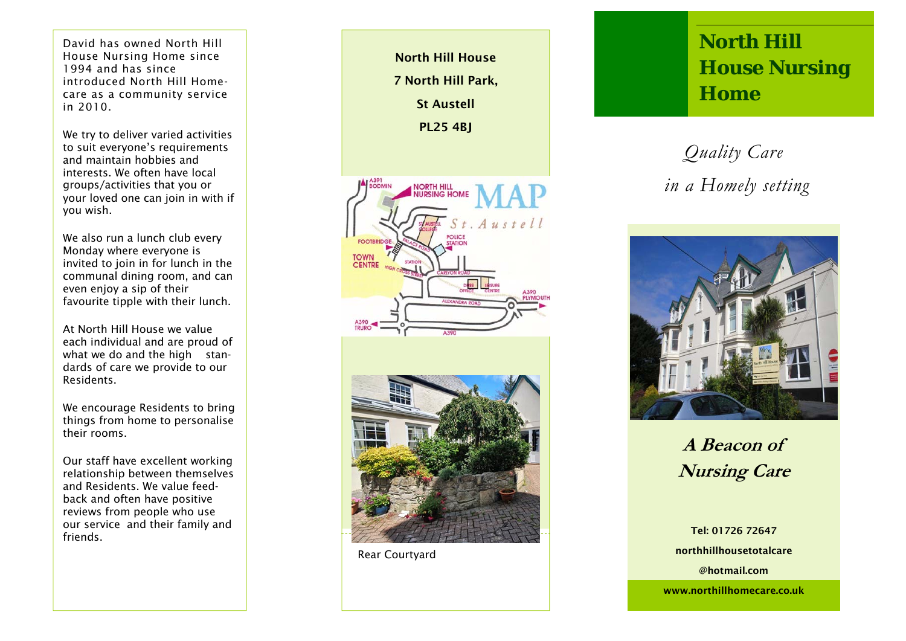David has owned North Hill House Nursing Home since 1994 and has since introduced North Hill Homecare as a community service in 2010.

We try to deliver varied activities to suit everyone's requirements and maintain hobbies and interests. We often have local groups/activities that you or your loved one can join in with if you wish.

We also run a lunch club every Monday where everyone is invited to join in for lunch in the communal dining room, and can even enjoy a sip of their favourite tipple with their lunch.

At North Hill House we value each individual and are proud of what we do and the high standards of care we provide to our Residents.

We encourage Residents to bring things from home to personalise their rooms.

Our staff have excellent working relationship between themselves and Residents. We value feedback and often have positive reviews from people who use our service and their family and friends.

North Hill House 7 North Hill Park, St Austell PL25 4BJ **NORTH HILL<br>NURSING HOME**  $t$ , Austell FOOTBR **TOWN<br>CENTRE** 

Rear Courtyard

## **North Hill House Nursing Home**

## *Quality Care in a Homely setting*



**A Beacon of Nursing Care** 

Tel: 01726 72647 northhillhousetotalcare @hotmail.com

www.northillhomecare.co.uk